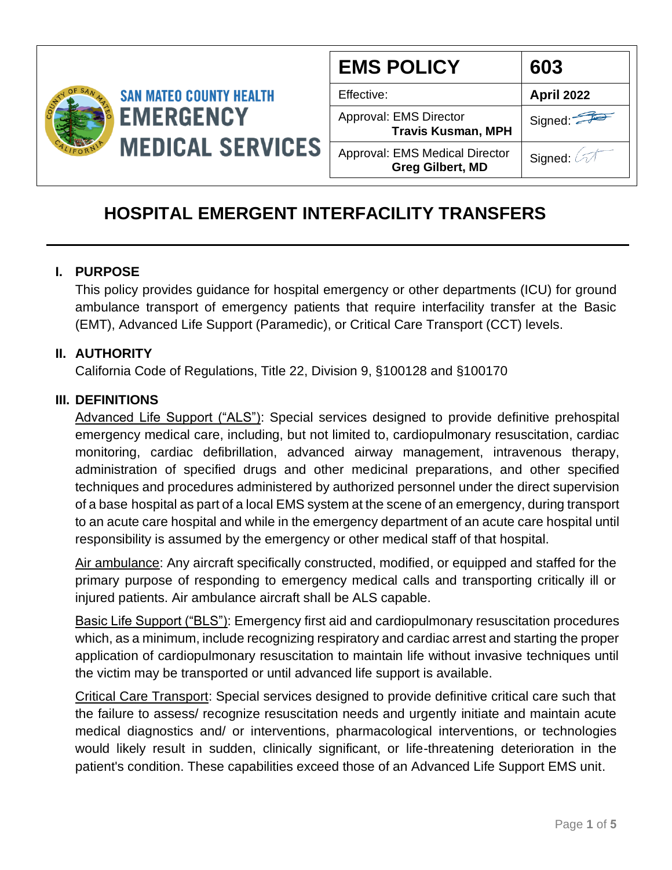

| <b>EMS POLICY</b>                                                | 603               |
|------------------------------------------------------------------|-------------------|
| Effective:                                                       | <b>April 2022</b> |
| Approval: EMS Director<br><b>Travis Kusman, MPH</b>              | Signed:           |
| <b>Approval: EMS Medical Director</b><br><b>Greg Gilbert, MD</b> | Signed: 2         |

# **HOSPITAL EMERGENT INTERFACILITY TRANSFERS**

## **I. PURPOSE**

This policy provides guidance for hospital emergency or other departments (ICU) for ground ambulance transport of emergency patients that require interfacility transfer at the Basic (EMT), Advanced Life Support (Paramedic), or Critical Care Transport (CCT) levels.

## **II. AUTHORITY**

California Code of Regulations, Title 22, Division 9, §100128 and §100170

## **III. DEFINITIONS**

Advanced Life Support ("ALS"): Special services designed to provide definitive prehospital emergency medical care, including, but not limited to, cardiopulmonary resuscitation, cardiac monitoring, cardiac defibrillation, advanced airway management, intravenous therapy, administration of specified drugs and other medicinal preparations, and other specified techniques and procedures administered by authorized personnel under the direct supervision of a base hospital as part of a local EMS system at the scene of an emergency, during transport to an acute care hospital and while in the emergency department of an acute care hospital until responsibility is assumed by the emergency or other medical staff of that hospital.

Air ambulance: Any aircraft specifically constructed, modified, or equipped and staffed for the primary purpose of responding to emergency medical calls and transporting critically ill or injured patients. Air ambulance aircraft shall be ALS capable.

Basic Life Support ("BLS"): Emergency first aid and cardiopulmonary resuscitation procedures which, as a minimum, include recognizing respiratory and cardiac arrest and starting the proper application of cardiopulmonary resuscitation to maintain life without invasive techniques until the victim may be transported or until advanced life support is available.

Critical Care Transport: Special services designed to provide definitive critical care such that the failure to assess/ recognize resuscitation needs and urgently initiate and maintain acute medical diagnostics and/ or interventions, pharmacological interventions, or technologies would likely result in sudden, clinically significant, or life-threatening deterioration in the patient's condition. These capabilities exceed those of an Advanced Life Support EMS unit.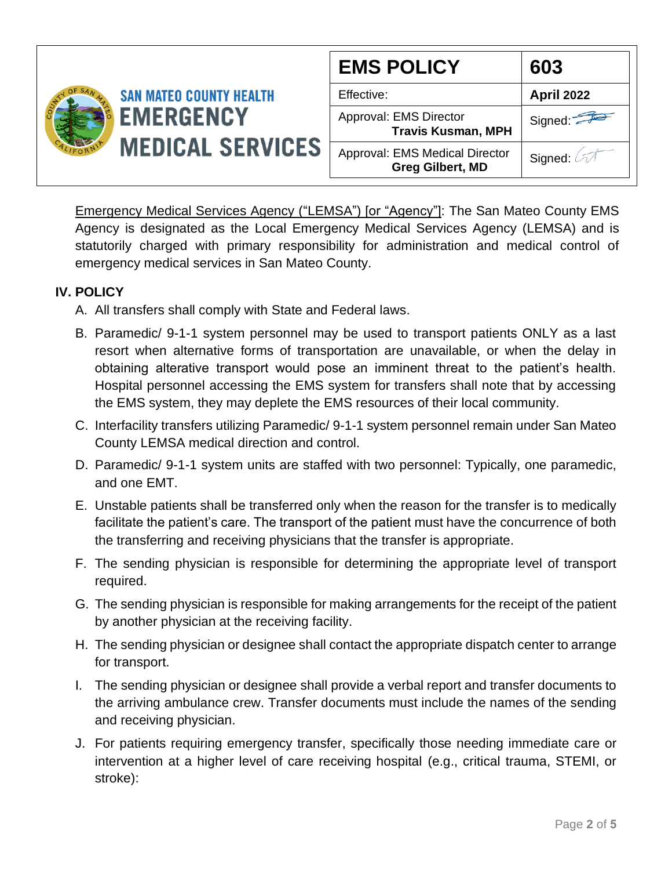|                                             |                                | <b>EMS POLICY</b>                                         | 603               |
|---------------------------------------------|--------------------------------|-----------------------------------------------------------|-------------------|
|                                             | <b>SAN MATEO COUNTY HEALTH</b> | Effective:                                                | <b>April 2022</b> |
| <b>EMERGENCY</b><br><b>MEDICAL SERVICES</b> |                                | Approval: EMS Director<br><b>Travis Kusman, MPH</b>       | Signed:           |
|                                             |                                | Approval: EMS Medical Director<br><b>Greg Gilbert, MD</b> | Signed:           |

Emergency Medical Services Agency ("LEMSA") [or "Agency"]: The San Mateo County EMS Agency is designated as the Local Emergency Medical Services Agency (LEMSA) and is statutorily charged with primary responsibility for administration and medical control of emergency medical services in San Mateo County.

## **IV. POLICY**

- A. All transfers shall comply with State and Federal laws.
- B. Paramedic/ 9-1-1 system personnel may be used to transport patients ONLY as a last resort when alternative forms of transportation are unavailable, or when the delay in obtaining alterative transport would pose an imminent threat to the patient's health. Hospital personnel accessing the EMS system for transfers shall note that by accessing the EMS system, they may deplete the EMS resources of their local community.
- C. Interfacility transfers utilizing Paramedic/ 9-1-1 system personnel remain under San Mateo County LEMSA medical direction and control.
- D. Paramedic/ 9-1-1 system units are staffed with two personnel: Typically, one paramedic, and one EMT.
- E. Unstable patients shall be transferred only when the reason for the transfer is to medically facilitate the patient's care. The transport of the patient must have the concurrence of both the transferring and receiving physicians that the transfer is appropriate.
- F. The sending physician is responsible for determining the appropriate level of transport required.
- G. The sending physician is responsible for making arrangements for the receipt of the patient by another physician at the receiving facility.
- H. The sending physician or designee shall contact the appropriate dispatch center to arrange for transport.
- I. The sending physician or designee shall provide a verbal report and transfer documents to the arriving ambulance crew. Transfer documents must include the names of the sending and receiving physician.
- J. For patients requiring emergency transfer, specifically those needing immediate care or intervention at a higher level of care receiving hospital (e.g., critical trauma, STEMI, or stroke):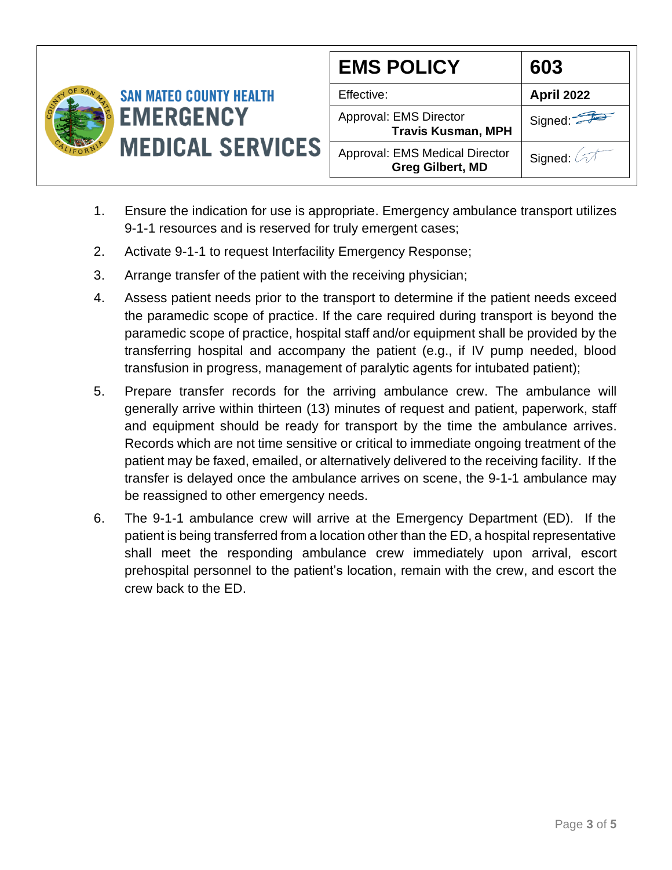

| <b>EMS POLICY</b>                                         | 603               |
|-----------------------------------------------------------|-------------------|
| Effective:                                                | <b>April 2022</b> |
| Approval: EMS Director<br><b>Travis Kusman, MPH</b>       | Signed:           |
| Approval: EMS Medical Director<br><b>Greg Gilbert, MD</b> | Signed: 4         |

- 1. Ensure the indication for use is appropriate. Emergency ambulance transport utilizes 9-1-1 resources and is reserved for truly emergent cases;
- 2. Activate 9-1-1 to request Interfacility Emergency Response;
- 3. Arrange transfer of the patient with the receiving physician;
- 4. Assess patient needs prior to the transport to determine if the patient needs exceed the paramedic scope of practice. If the care required during transport is beyond the paramedic scope of practice, hospital staff and/or equipment shall be provided by the transferring hospital and accompany the patient (e.g., if IV pump needed, blood transfusion in progress, management of paralytic agents for intubated patient);
- 5. Prepare transfer records for the arriving ambulance crew. The ambulance will generally arrive within thirteen (13) minutes of request and patient, paperwork, staff and equipment should be ready for transport by the time the ambulance arrives. Records which are not time sensitive or critical to immediate ongoing treatment of the patient may be faxed, emailed, or alternatively delivered to the receiving facility. If the transfer is delayed once the ambulance arrives on scene, the 9-1-1 ambulance may be reassigned to other emergency needs.
- 6. The 9-1-1 ambulance crew will arrive at the Emergency Department (ED). If the patient is being transferred from a location other than the ED, a hospital representative shall meet the responding ambulance crew immediately upon arrival, escort prehospital personnel to the patient's location, remain with the crew, and escort the crew back to the ED.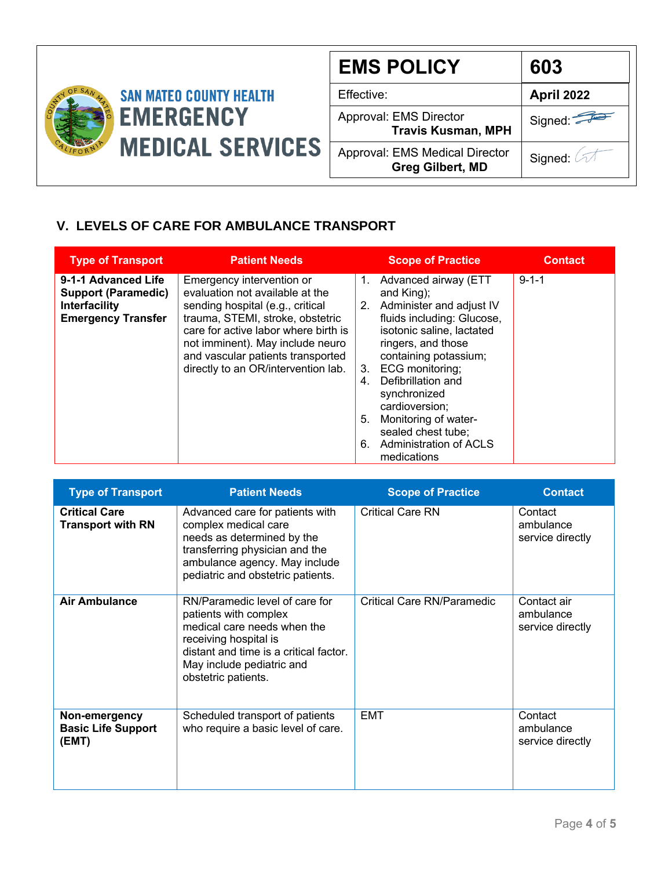

| <b>EMS POLICY</b>                                                | 603                          |
|------------------------------------------------------------------|------------------------------|
| Effective:                                                       | April 2022                   |
| Approval: EMS Director<br><b>Travis Kusman, MPH</b>              | Signed:                      |
| <b>Approval: EMS Medical Director</b><br><b>Greg Gilbert, MD</b> | Signed: $\oslash\mathcal{A}$ |

## **V. LEVELS OF CARE FOR AMBULANCE TRANSPORT**

| <b>Type of Transport</b>                                                                               | <b>Patient Needs</b>                                                                                                                                                                                                                                                                         |                            | <b>Scope of Practice</b>                                                                                                                                                                                                                                                                                                                             | <b>Contact</b> |
|--------------------------------------------------------------------------------------------------------|----------------------------------------------------------------------------------------------------------------------------------------------------------------------------------------------------------------------------------------------------------------------------------------------|----------------------------|------------------------------------------------------------------------------------------------------------------------------------------------------------------------------------------------------------------------------------------------------------------------------------------------------------------------------------------------------|----------------|
| 9-1-1 Advanced Life<br><b>Support (Paramedic)</b><br><b>Interfacility</b><br><b>Emergency Transfer</b> | Emergency intervention or<br>evaluation not available at the<br>sending hospital (e.g., critical<br>trauma, STEMI, stroke, obstetric<br>care for active labor where birth is<br>not imminent). May include neuro<br>and vascular patients transported<br>directly to an OR/intervention lab. | 1.<br>3.<br>4.<br>5.<br>6. | Advanced airway (ETT<br>and King);<br>2. Administer and adjust IV<br>fluids including: Glucose,<br>isotonic saline, lactated<br>ringers, and those<br>containing potassium;<br>ECG monitoring;<br>Defibrillation and<br>synchronized<br>cardioversion:<br>Monitoring of water-<br>sealed chest tube;<br><b>Administration of ACLS</b><br>medications | $9 - 1 - 1$    |

| <b>Type of Transport</b>                            | <b>Patient Needs</b>                                                                                                                                                                                          | <b>Scope of Practice</b>   | <b>Contact</b>                               |
|-----------------------------------------------------|---------------------------------------------------------------------------------------------------------------------------------------------------------------------------------------------------------------|----------------------------|----------------------------------------------|
| <b>Critical Care</b><br><b>Transport with RN</b>    | Advanced care for patients with<br>complex medical care<br>needs as determined by the<br>transferring physician and the<br>ambulance agency. May include<br>pediatric and obstetric patients.                 | <b>Critical Care RN</b>    | Contact<br>ambulance<br>service directly     |
| <b>Air Ambulance</b>                                | RN/Paramedic level of care for<br>patients with complex<br>medical care needs when the<br>receiving hospital is<br>distant and time is a critical factor.<br>May include pediatric and<br>obstetric patients. | Critical Care RN/Paramedic | Contact air<br>ambulance<br>service directly |
| Non-emergency<br><b>Basic Life Support</b><br>(EMT) | Scheduled transport of patients<br>who require a basic level of care.                                                                                                                                         | <b>EMT</b>                 | Contact<br>ambulance<br>service directly     |